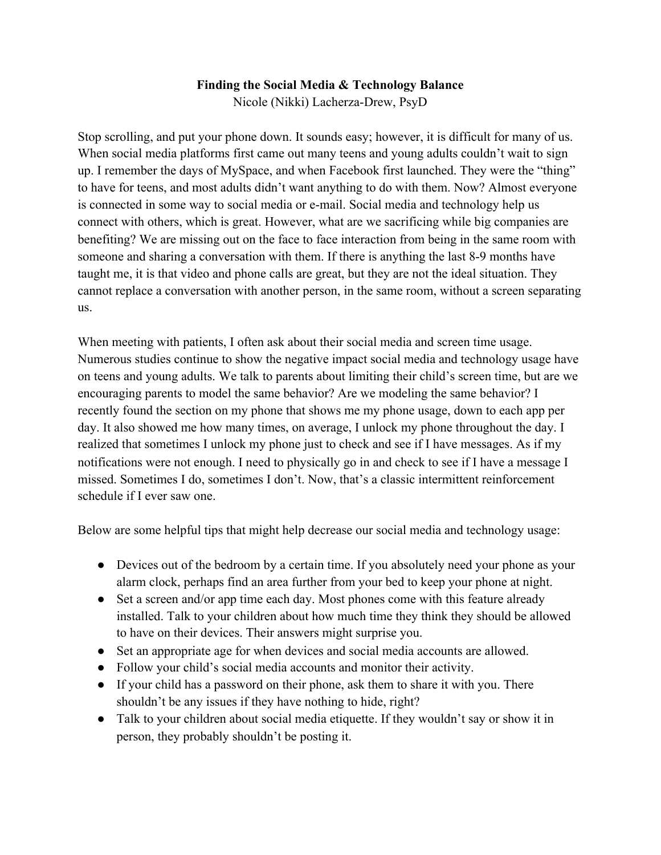## **Finding the Social Media & Technology Balance**

Nicole (Nikki) Lacherza-Drew, PsyD

Stop scrolling, and put your phone down. It sounds easy; however, it is difficult for many of us. When social media platforms first came out many teens and young adults couldn't wait to sign up. I remember the days of MySpace, and when Facebook first launched. They were the "thing" to have for teens, and most adults didn't want anything to do with them. Now? Almost everyone is connected in some way to social media or e-mail. Social media and technology help us connect with others, which is great. However, what are we sacrificing while big companies are benefiting? We are missing out on the face to face interaction from being in the same room with someone and sharing a conversation with them. If there is anything the last 8-9 months have taught me, it is that video and phone calls are great, but they are not the ideal situation. They cannot replace a conversation with another person, in the same room, without a screen separating us.

When meeting with patients, I often ask about their social media and screen time usage. Numerous studies continue to show the negative impact social media and technology usage have on teens and young adults. We talk to parents about limiting their child's screen time, but are we encouraging parents to model the same behavior? Are we modeling the same behavior? I recently found the section on my phone that shows me my phone usage, down to each app per day. It also showed me how many times, on average, I unlock my phone throughout the day. I realized that sometimes I unlock my phone just to check and see if I have messages. As if my notifications were not enough. I need to physically go in and check to see if I have a message I missed. Sometimes I do, sometimes I don't. Now, that's a classic intermittent reinforcement schedule if I ever saw one.

Below are some helpful tips that might help decrease our social media and technology usage:

- Devices out of the bedroom by a certain time. If you absolutely need your phone as your alarm clock, perhaps find an area further from your bed to keep your phone at night.
- Set a screen and/or app time each day. Most phones come with this feature already installed. Talk to your children about how much time they think they should be allowed to have on their devices. Their answers might surprise you.
- Set an appropriate age for when devices and social media accounts are allowed.
- Follow your child's social media accounts and monitor their activity.
- If your child has a password on their phone, ask them to share it with you. There shouldn't be any issues if they have nothing to hide, right?
- Talk to your children about social media etiquette. If they wouldn't say or show it in person, they probably shouldn't be posting it.